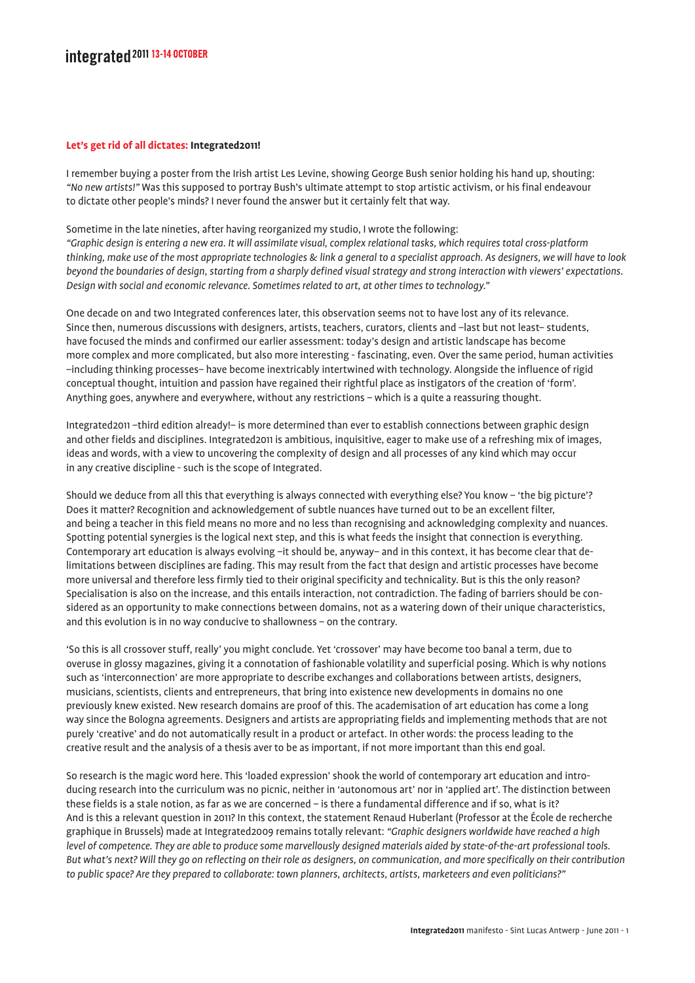## integrated<sup>2011</sup>13-14 OCTOBER

## **Let's get rid of all dictates: Integrated2011!**

I remember buying a poster from the Irish artist Les Levine, showing George Bush senior holding his hand up, shouting: *"No new artists!"* Was this supposed to portray Bush's ultimate attempt to stop artistic activism, or his final endeavour to dictate other people's minds? I never found the answer but it certainly felt that way.

Sometime in the late nineties, after having reorganized my studio, I wrote the following: *"Graphic design is entering a new era. It will assimilate visual, complex relational tasks, which requires total cross-platform thinking, make use of the most appropriate technologies & link a general to a specialist approach. As designers, we will have to look beyond the boundaries of design, starting from a sharply defined visual strategy and strong interaction with viewers' expectations. Design with social and economic relevance. Sometimes related to art, at other times to technology."*

One decade on and two Integrated conferences later, this observation seems not to have lost any of its relevance. Since then, numerous discussions with designers, artists, teachers, curators, clients and –last but not least– students, have focused the minds and confirmed our earlier assessment: today's design and artistic landscape has become more complex and more complicated, but also more interesting - fascinating, even. Over the same period, human activities –including thinking processes– have become inextricably intertwined with technology. Alongside the influence of rigid conceptual thought, intuition and passion have regained their rightful place as instigators of the creation of 'form'. Anything goes, anywhere and everywhere, without any restrictions – which is a quite a reassuring thought.

Integrated2011 –third edition already!– is more determined than ever to establish connections between graphic design and other fields and disciplines. Integrated2011 is ambitious, inquisitive, eager to make use of a refreshing mix of images, ideas and words, with a view to uncovering the complexity of design and all processes of any kind which may occur in any creative discipline - such is the scope of Integrated.

Should we deduce from all this that everything is always connected with everything else? You know – 'the big picture'? Does it matter? Recognition and acknowledgement of subtle nuances have turned out to be an excellent filter, and being a teacher in this field means no more and no less than recognising and acknowledging complexity and nuances. Spotting potential synergies is the logical next step, and this is what feeds the insight that connection is everything. Contemporary art education is always evolving –it should be, anyway– and in this context, it has become clear that delimitations between disciplines are fading. This may result from the fact that design and artistic processes have become more universal and therefore less firmly tied to their original specificity and technicality. But is this the only reason? Specialisation is also on the increase, and this entails interaction, not contradiction. The fading of barriers should be considered as an opportunity to make connections between domains, not as a watering down of their unique characteristics, and this evolution is in no way conducive to shallowness – on the contrary.

'So this is all crossover stuff, really' you might conclude. Yet 'crossover' may have become too banal a term, due to overuse in glossy magazines, giving it a connotation of fashionable volatility and superficial posing. Which is why notions such as 'interconnection' are more appropriate to describe exchanges and collaborations between artists, designers, musicians, scientists, clients and entrepreneurs, that bring into existence new developments in domains no one previously knew existed. New research domains are proof of this. The academisation of art education has come a long way since the Bologna agreements. Designers and artists are appropriating fields and implementing methods that are not purely 'creative' and do not automatically result in a product or artefact. In other words: the process leading to the creative result and the analysis of a thesis aver to be as important, if not more important than this end goal.

So research is the magic word here. This 'loaded expression' shook the world of contemporary art education and introducing research into the curriculum was no picnic, neither in 'autonomous art' nor in 'applied art'. The distinction between these fields is a stale notion, as far as we are concerned – is there a fundamental difference and if so, what is it? And is this a relevant question in 2011? In this context, the statement Renaud Huberlant (Professor at the École de recherche graphique in Brussels) made at Integrated2009 remains totally relevant: *"Graphic designers worldwide have reached a high level of competence. They are able to produce some marvellously designed materials aided by state-of-the-art professional tools. But what's next? Will they go on reflecting on their role as designers, on communication, and more specifically on their contribution to public space? Are they prepared to collaborate: town planners, architects, artists, marketeers and even politicians?"*